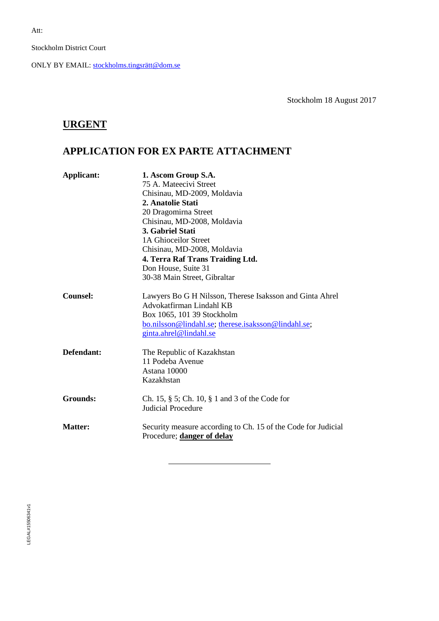Stockholm District Court

ONLY BY EMAIL: [stockholms.tingsrätt@dom.se](mailto:stockholms.tingsrätt@dom.se)

Stockholm 18 August 2017

# **URGENT**

# **APPLICATION FOR EX PARTE ATTACHMENT**

| Applicant:      | 1. Ascom Group S.A.<br>75 A. Mateecivi Street<br>Chisinau, MD-2009, Moldavia<br>2. Anatolie Stati<br>20 Dragomirna Street<br>Chisinau, MD-2008, Moldavia<br>3. Gabriel Stati<br>1A Ghioceilor Street<br>Chisinau, MD-2008, Moldavia<br>4. Terra Raf Trans Traiding Ltd.<br>Don House, Suite 31<br>30-38 Main Street, Gibraltar |
|-----------------|--------------------------------------------------------------------------------------------------------------------------------------------------------------------------------------------------------------------------------------------------------------------------------------------------------------------------------|
| Counsel:        | Lawyers Bo G H Nilsson, Therese Isaksson and Ginta Ahrel<br>Advokatfirman Lindahl KB<br>Box 1065, 101 39 Stockholm<br>bo.nilsson@lindahl.se; therese.isaksson@lindahl.se;<br>ginta.ahrel@lindahl.se                                                                                                                            |
| Defendant:      | The Republic of Kazakhstan<br>11 Podeba Avenue<br>Astana 10000<br>Kazakhstan                                                                                                                                                                                                                                                   |
| <b>Grounds:</b> | Ch. 15, $\S$ 5; Ch. 10, $\S$ 1 and 3 of the Code for<br><b>Judicial Procedure</b>                                                                                                                                                                                                                                              |
| <b>Matter:</b>  | Security measure according to Ch. 15 of the Code for Judicial<br>Procedure; danger of delay                                                                                                                                                                                                                                    |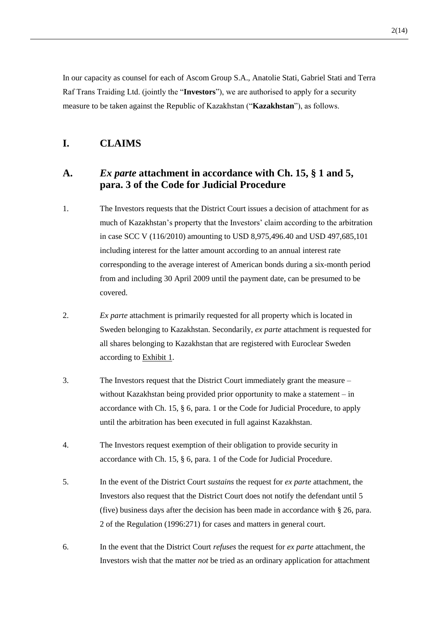In our capacity as counsel for each of Ascom Group S.A., Anatolie Stati, Gabriel Stati and Terra Raf Trans Traiding Ltd. (jointly the "**Investors**"), we are authorised to apply for a security measure to be taken against the Republic of Kazakhstan ("**Kazakhstan**"), as follows.

### **I. CLAIMS**

### **A.** *Ex parte* **attachment in accordance with Ch. 15, § 1 and 5, para. 3 of the Code for Judicial Procedure**

- 1. The Investors requests that the District Court issues a decision of attachment for as much of Kazakhstan's property that the Investors' claim according to the arbitration in case SCC V (116/2010) amounting to USD 8,975,496.40 and USD 497,685,101 including interest for the latter amount according to an annual interest rate corresponding to the average interest of American bonds during a six-month period from and including 30 April 2009 until the payment date, can be presumed to be covered.
- 2. *Ex parte* attachment is primarily requested for all property which is located in Sweden belonging to Kazakhstan. Secondarily, *ex parte* attachment is requested for all shares belonging to Kazakhstan that are registered with Euroclear Sweden according to Exhibit 1.
- 3. The Investors request that the District Court immediately grant the measure without Kazakhstan being provided prior opportunity to make a statement – in accordance with Ch. 15, § 6, para. 1 or the Code for Judicial Procedure, to apply until the arbitration has been executed in full against Kazakhstan.
- 4. The Investors request exemption of their obligation to provide security in accordance with Ch. 15, § 6, para. 1 of the Code for Judicial Procedure.
- 5. In the event of the District Court *sustains* the request for *ex parte* attachment, the Investors also request that the District Court does not notify the defendant until 5 (five) business days after the decision has been made in accordance with § 26, para. 2 of the Regulation (1996:271) for cases and matters in general court.
- 6. In the event that the District Court *refuses* the request for *ex parte* attachment, the Investors wish that the matter *not* be tried as an ordinary application for attachment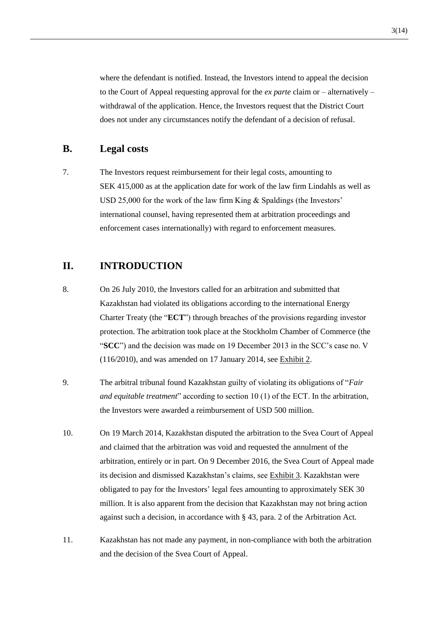where the defendant is notified. Instead, the Investors intend to appeal the decision to the Court of Appeal requesting approval for the *ex parte* claim or – alternatively – withdrawal of the application. Hence, the Investors request that the District Court does not under any circumstances notify the defendant of a decision of refusal.

#### **B. Legal costs**

7. The Investors request reimbursement for their legal costs, amounting to SEK 415,000 as at the application date for work of the law firm Lindahls as well as USD 25,000 for the work of the law firm King & Spaldings (the Investors' international counsel, having represented them at arbitration proceedings and enforcement cases internationally) with regard to enforcement measures.

#### **II. INTRODUCTION**

- 8. On 26 July 2010, the Investors called for an arbitration and submitted that Kazakhstan had violated its obligations according to the international Energy Charter Treaty (the "**ECT**") through breaches of the provisions regarding investor protection. The arbitration took place at the Stockholm Chamber of Commerce (the "**SCC**") and the decision was made on 19 December 2013 in the SCC's case no. V (116/2010), and was amended on 17 January 2014, see Exhibit 2.
- 9. The arbitral tribunal found Kazakhstan guilty of violating its obligations of "*Fair and equitable treatment*" according to section 10 (1) of the ECT. In the arbitration, the Investors were awarded a reimbursement of USD 500 million.
- 10. On 19 March 2014, Kazakhstan disputed the arbitration to the Svea Court of Appeal and claimed that the arbitration was void and requested the annulment of the arbitration, entirely or in part. On 9 December 2016, the Svea Court of Appeal made its decision and dismissed Kazakhstan's claims, see Exhibit 3. Kazakhstan were obligated to pay for the Investors' legal fees amounting to approximately SEK 30 million. It is also apparent from the decision that Kazakhstan may not bring action against such a decision, in accordance with § 43, para. 2 of the Arbitration Act.
- 11. Kazakhstan has not made any payment, in non-compliance with both the arbitration and the decision of the Svea Court of Appeal.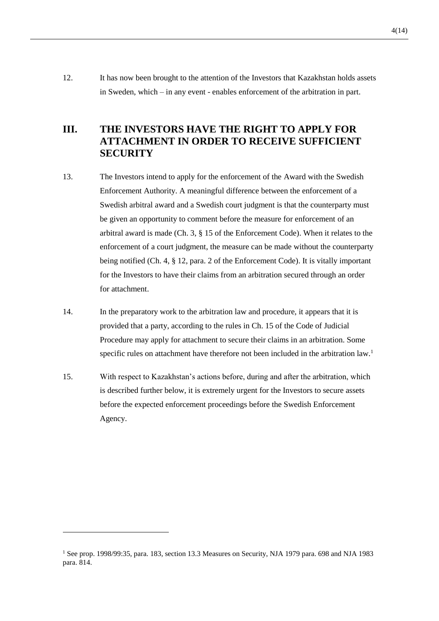12. It has now been brought to the attention of the Investors that Kazakhstan holds assets in Sweden, which – in any event - enables enforcement of the arbitration in part.

## **III. THE INVESTORS HAVE THE RIGHT TO APPLY FOR ATTACHMENT IN ORDER TO RECEIVE SUFFICIENT SECURITY**

- 13. The Investors intend to apply for the enforcement of the Award with the Swedish Enforcement Authority. A meaningful difference between the enforcement of a Swedish arbitral award and a Swedish court judgment is that the counterparty must be given an opportunity to comment before the measure for enforcement of an arbitral award is made (Ch. 3, § 15 of the Enforcement Code). When it relates to the enforcement of a court judgment, the measure can be made without the counterparty being notified (Ch. 4, § 12, para. 2 of the Enforcement Code). It is vitally important for the Investors to have their claims from an arbitration secured through an order for attachment.
- 14. In the preparatory work to the arbitration law and procedure, it appears that it is provided that a party, according to the rules in Ch. 15 of the Code of Judicial Procedure may apply for attachment to secure their claims in an arbitration. Some specific rules on attachment have therefore not been included in the arbitration law.<sup>1</sup>
- 15. With respect to Kazakhstan's actions before, during and after the arbitration, which is described further below, it is extremely urgent for the Investors to secure assets before the expected enforcement proceedings before the Swedish Enforcement Agency.

<sup>&</sup>lt;sup>1</sup> See prop. 1998/99:35, para. 183, section 13.3 Measures on Security, NJA 1979 para. 698 and NJA 1983 para. 814.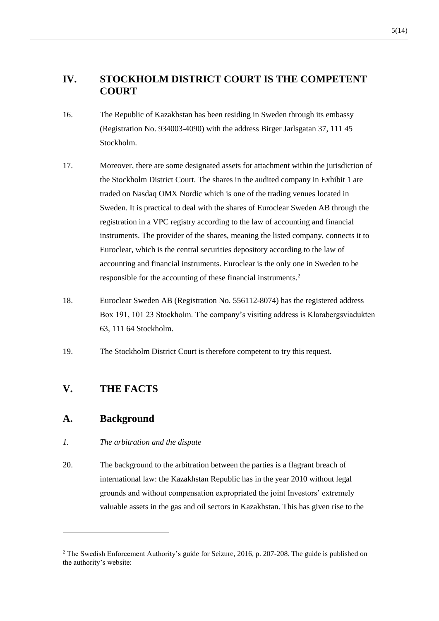## **IV. STOCKHOLM DISTRICT COURT IS THE COMPETENT COURT**

- 16. The Republic of Kazakhstan has been residing in Sweden through its embassy (Registration No. 934003-4090) with the address Birger Jarlsgatan 37, 111 45 Stockholm.
- 17. Moreover, there are some designated assets for attachment within the jurisdiction of the Stockholm District Court. The shares in the audited company in Exhibit 1 are traded on Nasdaq OMX Nordic which is one of the trading venues located in Sweden. It is practical to deal with the shares of Euroclear Sweden AB through the registration in a VPC registry according to the law of accounting and financial instruments. The provider of the shares, meaning the listed company, connects it to Euroclear, which is the central securities depository according to the law of accounting and financial instruments. Euroclear is the only one in Sweden to be responsible for the accounting of these financial instruments.<sup>2</sup>
- 18. Euroclear Sweden AB (Registration No. 556112-8074) has the registered address Box 191, 101 23 Stockholm. The company's visiting address is Klarabergsviadukten 63, 111 64 Stockholm.
- 19. The Stockholm District Court is therefore competent to try this request.

### **V. THE FACTS**

#### **A. Background**

- *1. The arbitration and the dispute*
- 20. The background to the arbitration between the parties is a flagrant breach of international law: the Kazakhstan Republic has in the year 2010 without legal grounds and without compensation expropriated the joint Investors' extremely valuable assets in the gas and oil sectors in Kazakhstan. This has given rise to the

<sup>&</sup>lt;sup>2</sup> The Swedish Enforcement Authority's guide for Seizure, 2016, p. 207-208. The guide is published on the authority's website: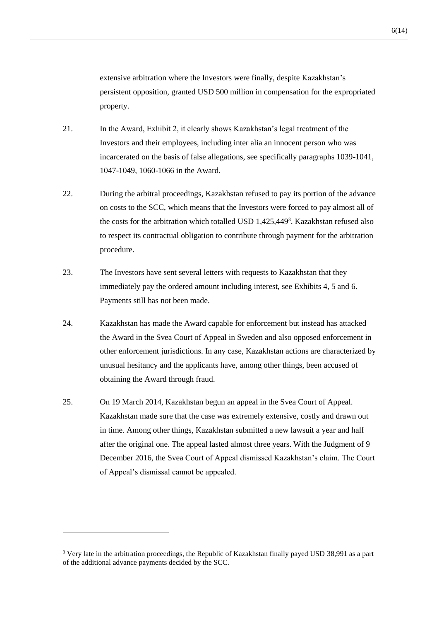extensive arbitration where the Investors were finally, despite Kazakhstan's persistent opposition, granted USD 500 million in compensation for the expropriated property.

- 21. In the Award, Exhibit 2, it clearly shows Kazakhstan's legal treatment of the Investors and their employees, including inter alia an innocent person who was incarcerated on the basis of false allegations, see specifically paragraphs 1039-1041, 1047-1049, 1060-1066 in the Award.
- 22. During the arbitral proceedings, Kazakhstan refused to pay its portion of the advance on costs to the SCC, which means that the Investors were forced to pay almost all of the costs for the arbitration which totalled USD 1,425,449<sup>3</sup>. Kazakhstan refused also to respect its contractual obligation to contribute through payment for the arbitration procedure.
- 23. The Investors have sent several letters with requests to Kazakhstan that they immediately pay the ordered amount including interest, see Exhibits 4, 5 and 6. Payments still has not been made.
- 24. Kazakhstan has made the Award capable for enforcement but instead has attacked the Award in the Svea Court of Appeal in Sweden and also opposed enforcement in other enforcement jurisdictions. In any case, Kazakhstan actions are characterized by unusual hesitancy and the applicants have, among other things, been accused of obtaining the Award through fraud.
- 25. On 19 March 2014, Kazakhstan begun an appeal in the Svea Court of Appeal. Kazakhstan made sure that the case was extremely extensive, costly and drawn out in time. Among other things, Kazakhstan submitted a new lawsuit a year and half after the original one. The appeal lasted almost three years. With the Judgment of 9 December 2016, the Svea Court of Appeal dismissed Kazakhstan's claim. The Court of Appeal's dismissal cannot be appealed.

<sup>&</sup>lt;sup>3</sup> Very late in the arbitration proceedings, the Republic of Kazakhstan finally payed USD 38,991 as a part of the additional advance payments decided by the SCC.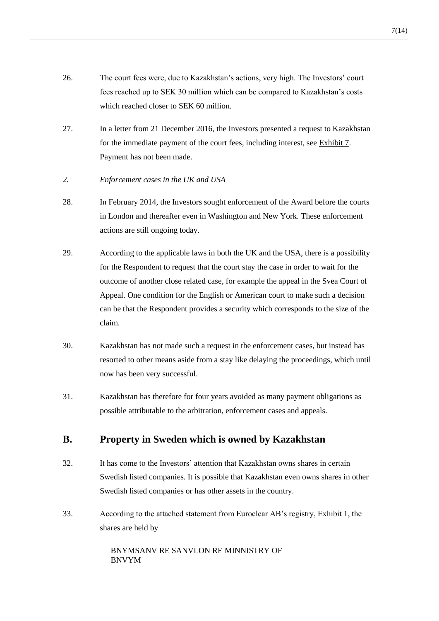- 26. The court fees were, due to Kazakhstan's actions, very high. The Investors' court fees reached up to SEK 30 million which can be compared to Kazakhstan's costs which reached closer to SEK 60 million.
- 27. In a letter from 21 December 2016, the Investors presented a request to Kazakhstan for the immediate payment of the court fees, including interest, see Exhibit 7. Payment has not been made.
- *2. Enforcement cases in the UK and USA*
- 28. In February 2014, the Investors sought enforcement of the Award before the courts in London and thereafter even in Washington and New York. These enforcement actions are still ongoing today.
- 29. According to the applicable laws in both the UK and the USA, there is a possibility for the Respondent to request that the court stay the case in order to wait for the outcome of another close related case, for example the appeal in the Svea Court of Appeal. One condition for the English or American court to make such a decision can be that the Respondent provides a security which corresponds to the size of the claim.
- 30. Kazakhstan has not made such a request in the enforcement cases, but instead has resorted to other means aside from a stay like delaying the proceedings, which until now has been very successful.
- 31. Kazakhstan has therefore for four years avoided as many payment obligations as possible attributable to the arbitration, enforcement cases and appeals.

#### **B. Property in Sweden which is owned by Kazakhstan**

- 32. It has come to the Investors' attention that Kazakhstan owns shares in certain Swedish listed companies. It is possible that Kazakhstan even owns shares in other Swedish listed companies or has other assets in the country.
- 33. According to the attached statement from Euroclear AB's registry, Exhibit 1, the shares are held by

BNYMSANV RE SANVLON RE MINNISTRY OF BNVYM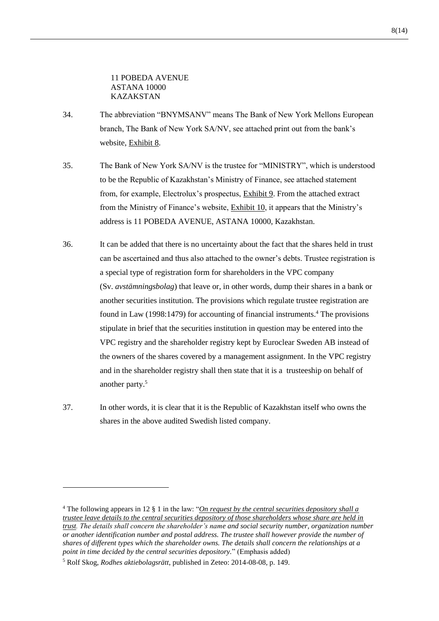11 POBEDA AVENUE ASTANA 10000 KAZAKSTAN

- 34. The abbreviation "BNYMSANV" means The Bank of New York Mellons European branch, The Bank of New York SA/NV, see attached print out from the bank's website, Exhibit 8.
- 35. The Bank of New York SA/NV is the trustee for "MINISTRY", which is understood to be the Republic of Kazakhstan's Ministry of Finance, see attached statement from, for example, Electrolux's prospectus, Exhibit 9. From the attached extract from the Ministry of Finance's website, Exhibit 10, it appears that the Ministry's address is 11 POBEDA AVENUE, ASTANA 10000, Kazakhstan.
- 36. It can be added that there is no uncertainty about the fact that the shares held in trust can be ascertained and thus also attached to the owner's debts. Trustee registration is a special type of registration form for shareholders in the VPC company (Sv. *avstämningsbolag*) that leave or, in other words, dump their shares in a bank or another securities institution. The provisions which regulate trustee registration are found in Law (1998:1479) for accounting of financial instruments.<sup>4</sup> The provisions stipulate in brief that the securities institution in question may be entered into the VPC registry and the shareholder registry kept by Euroclear Sweden AB instead of the owners of the shares covered by a management assignment. In the VPC registry and in the shareholder registry shall then state that it is a trusteeship on behalf of another party.<sup>5</sup>
- 37. In other words, it is clear that it is the Republic of Kazakhstan itself who owns the shares in the above audited Swedish listed company.

<sup>4</sup> The following appears in 12 § 1 in the law: "*On request by the central securities depository shall a trustee leave details to the central securities depository of those shareholders whose share are held in trust. The details shall concern the shareholder's name and social security number, organization number or another identification number and postal address. The trustee shall however provide the number of shares of different types which the shareholder owns. The details shall concern the relationships at a point in time decided by the central securities depository.*" (Emphasis added)

<sup>5</sup> Rolf Skog, *Rodhes aktiebolagsrätt*, published in Zeteo: 2014-08-08, p. 149.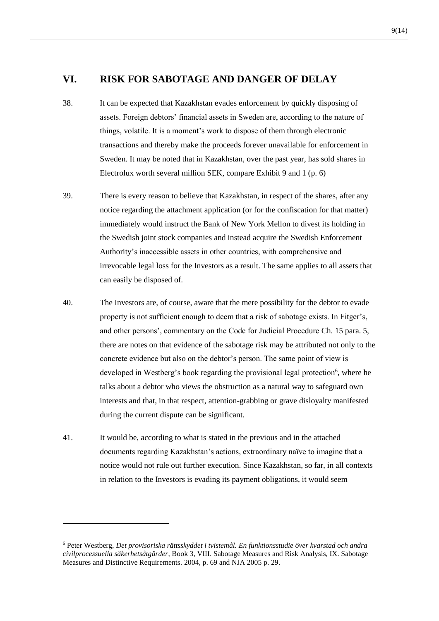#### **VI. RISK FOR SABOTAGE AND DANGER OF DELAY**

- 38. It can be expected that Kazakhstan evades enforcement by quickly disposing of assets. Foreign debtors' financial assets in Sweden are, according to the nature of things, volatile. It is a moment's work to dispose of them through electronic transactions and thereby make the proceeds forever unavailable for enforcement in Sweden. It may be noted that in Kazakhstan, over the past year, has sold shares in Electrolux worth several million SEK, compare Exhibit 9 and 1 (p. 6)
- 39. There is every reason to believe that Kazakhstan, in respect of the shares, after any notice regarding the attachment application (or for the confiscation for that matter) immediately would instruct the Bank of New York Mellon to divest its holding in the Swedish joint stock companies and instead acquire the Swedish Enforcement Authority's inaccessible assets in other countries, with comprehensive and irrevocable legal loss for the Investors as a result. The same applies to all assets that can easily be disposed of.
- 40. The Investors are, of course, aware that the mere possibility for the debtor to evade property is not sufficient enough to deem that a risk of sabotage exists. In Fitger's, and other persons', commentary on the Code for Judicial Procedure Ch. 15 para. 5, there are notes on that evidence of the sabotage risk may be attributed not only to the concrete evidence but also on the debtor's person. The same point of view is developed in Westberg's book regarding the provisional legal protection<sup>6</sup>, where he talks about a debtor who views the obstruction as a natural way to safeguard own interests and that, in that respect, attention-grabbing or grave disloyalty manifested during the current dispute can be significant.
- 41. It would be, according to what is stated in the previous and in the attached documents regarding Kazakhstan's actions, extraordinary naïve to imagine that a notice would not rule out further execution. Since Kazakhstan, so far, in all contexts in relation to the Investors is evading its payment obligations, it would seem

1

<sup>6</sup> Peter Westberg, *Det provisoriska rättsskyddet i tvistemål. En funktionsstudie över kvarstad och andra civilprocessuella säkerhetsåtgärder*, Book 3, VIII. Sabotage Measures and Risk Analysis, IX. Sabotage Measures and Distinctive Requirements. 2004, p. 69 and NJA 2005 p. 29.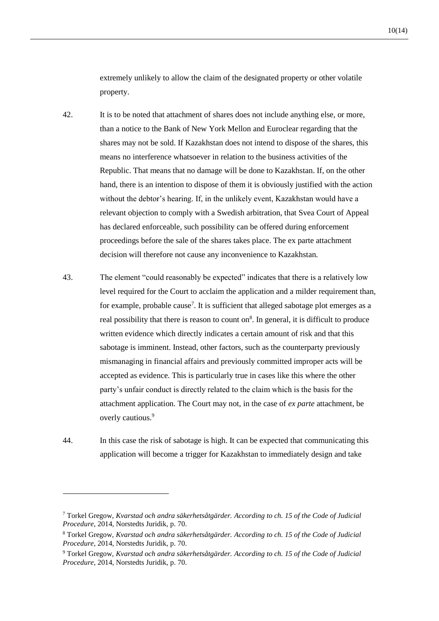extremely unlikely to allow the claim of the designated property or other volatile property.

- 42. It is to be noted that attachment of shares does not include anything else, or more, than a notice to the Bank of New York Mellon and Euroclear regarding that the shares may not be sold. If Kazakhstan does not intend to dispose of the shares, this means no interference whatsoever in relation to the business activities of the Republic. That means that no damage will be done to Kazakhstan. If, on the other hand, there is an intention to dispose of them it is obviously justified with the action without the debtor's hearing. If, in the unlikely event, Kazakhstan would have a relevant objection to comply with a Swedish arbitration, that Svea Court of Appeal has declared enforceable, such possibility can be offered during enforcement proceedings before the sale of the shares takes place. The ex parte attachment decision will therefore not cause any inconvenience to Kazakhstan.
- 43. The element "could reasonably be expected" indicates that there is a relatively low level required for the Court to acclaim the application and a milder requirement than, for example, probable cause<sup>7</sup>. It is sufficient that alleged sabotage plot emerges as a real possibility that there is reason to count on<sup>8</sup>. In general, it is difficult to produce written evidence which directly indicates a certain amount of risk and that this sabotage is imminent. Instead, other factors, such as the counterparty previously mismanaging in financial affairs and previously committed improper acts will be accepted as evidence. This is particularly true in cases like this where the other party's unfair conduct is directly related to the claim which is the basis for the attachment application. The Court may not, in the case of *ex parte* attachment, be overly cautious.<sup>9</sup>
- 44. In this case the risk of sabotage is high. It can be expected that communicating this application will become a trigger for Kazakhstan to immediately design and take

1

<sup>7</sup> Torkel Gregow, *Kvarstad och andra säkerhetsåtgärder. According to ch. 15 of the Code of Judicial Procedure*, 2014, Norstedts Juridik, p. 70.

<sup>8</sup> Torkel Gregow, *Kvarstad och andra säkerhetsåtgärder. According to ch. 15 of the Code of Judicial Procedure*, 2014, Norstedts Juridik, p. 70.

<sup>9</sup> Torkel Gregow, *Kvarstad och andra säkerhetsåtgärder. According to ch. 15 of the Code of Judicial Procedure*, 2014, Norstedts Juridik, p. 70.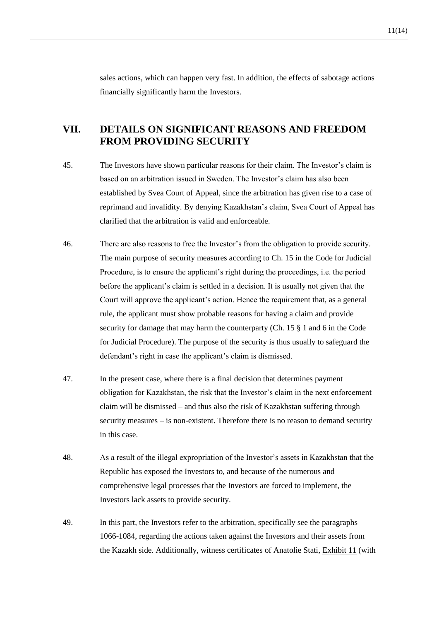sales actions, which can happen very fast. In addition, the effects of sabotage actions financially significantly harm the Investors.

# **VII. DETAILS ON SIGNIFICANT REASONS AND FREEDOM FROM PROVIDING SECURITY**

- 45. The Investors have shown particular reasons for their claim. The Investor's claim is based on an arbitration issued in Sweden. The Investor's claim has also been established by Svea Court of Appeal, since the arbitration has given rise to a case of reprimand and invalidity. By denying Kazakhstan's claim, Svea Court of Appeal has clarified that the arbitration is valid and enforceable.
- 46. There are also reasons to free the Investor's from the obligation to provide security. The main purpose of security measures according to Ch. 15 in the Code for Judicial Procedure, is to ensure the applicant's right during the proceedings, i.e. the period before the applicant's claim is settled in a decision. It is usually not given that the Court will approve the applicant's action. Hence the requirement that, as a general rule, the applicant must show probable reasons for having a claim and provide security for damage that may harm the counterparty (Ch. 15 § 1 and 6 in the Code for Judicial Procedure). The purpose of the security is thus usually to safeguard the defendant's right in case the applicant's claim is dismissed.
- 47. In the present case, where there is a final decision that determines payment obligation for Kazakhstan, the risk that the Investor's claim in the next enforcement claim will be dismissed – and thus also the risk of Kazakhstan suffering through security measures – is non-existent. Therefore there is no reason to demand security in this case.
- 48. As a result of the illegal expropriation of the Investor's assets in Kazakhstan that the Republic has exposed the Investors to, and because of the numerous and comprehensive legal processes that the Investors are forced to implement, the Investors lack assets to provide security.
- 49. In this part, the Investors refer to the arbitration, specifically see the paragraphs 1066-1084, regarding the actions taken against the Investors and their assets from the Kazakh side. Additionally, witness certificates of Anatolie Stati, Exhibit 11 (with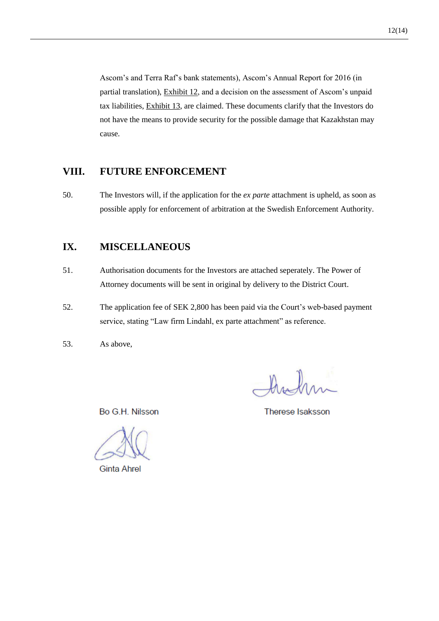Ascom's and Terra Raf's bank statements), Ascom's Annual Report for 2016 (in partial translation), Exhibit 12, and a decision on the assessment of Ascom's unpaid tax liabilities, Exhibit 13, are claimed. These documents clarify that the Investors do not have the means to provide security for the possible damage that Kazakhstan may cause.

#### **VIII. FUTURE ENFORCEMENT**

50. The Investors will, if the application for the *ex parte* attachment is upheld, as soon as possible apply for enforcement of arbitration at the Swedish Enforcement Authority.

### **IX. MISCELLANEOUS**

- 51. Authorisation documents for the Investors are attached seperately. The Power of Attorney documents will be sent in original by delivery to the District Court.
- 52. The application fee of SEK 2,800 has been paid via the Court's web-based payment service, stating "Law firm Lindahl, ex parte attachment" as reference.
- 53. As above,

Bo G.H. Nilsson

Therese Isaksson

**Ginta Ahrel**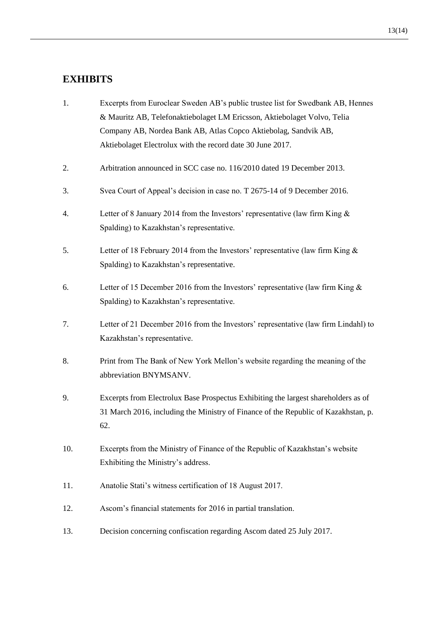### **EXHIBITS**

- 1. Excerpts from Euroclear Sweden AB's public trustee list for Swedbank AB, Hennes & Mauritz AB, Telefonaktiebolaget LM Ericsson, Aktiebolaget Volvo, Telia Company AB, Nordea Bank AB, Atlas Copco Aktiebolag, Sandvik AB, Aktiebolaget Electrolux with the record date 30 June 2017.
- 2. Arbitration announced in SCC case no. 116/2010 dated 19 December 2013.
- 3. Svea Court of Appeal's decision in case no. T 2675-14 of 9 December 2016.
- 4. Letter of 8 January 2014 from the Investors' representative (law firm King & Spalding) to Kazakhstan's representative.
- 5. Letter of 18 February 2014 from the Investors' representative (law firm King & Spalding) to Kazakhstan's representative.
- 6. Letter of 15 December 2016 from the Investors' representative (law firm King & Spalding) to Kazakhstan's representative.
- 7. Letter of 21 December 2016 from the Investors' representative (law firm Lindahl) to Kazakhstan's representative.
- 8. Print from The Bank of New York Mellon's website regarding the meaning of the abbreviation BNYMSANV.
- 9. Excerpts from Electrolux Base Prospectus Exhibiting the largest shareholders as of 31 March 2016, including the Ministry of Finance of the Republic of Kazakhstan, p. 62.
- 10. Excerpts from the Ministry of Finance of the Republic of Kazakhstan's website Exhibiting the Ministry's address.
- 11. Anatolie Stati's witness certification of 18 August 2017.
- 12. Ascom's financial statements for 2016 in partial translation.
- 13. Decision concerning confiscation regarding Ascom dated 25 July 2017.